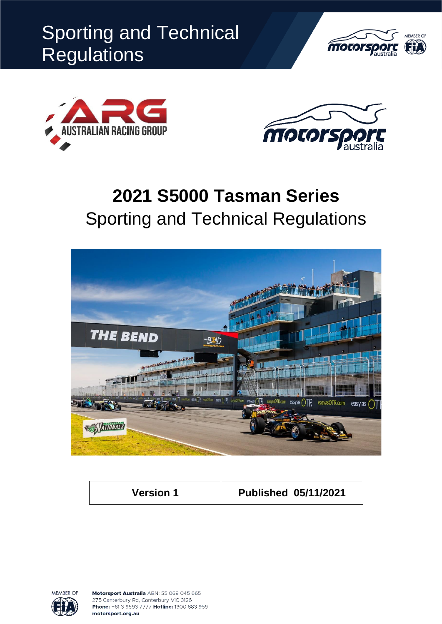





# **2021 S5000 Tasman Series** Sporting and Technical Regulations



**Version 1 Published 05/11/2021**



Motorsport Australia ABN: 55 069 045 665 275 Canterbury Rd, Canterbury VIC 3126 Phone: +61 3 9593 7777 Hotline: 1300 883 959 motorsport.org.au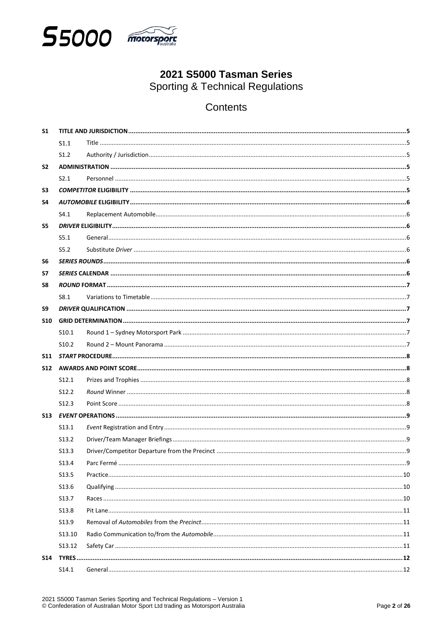

# 2021 S5000 Tasman Series **Sporting & Technical Regulations**

# Contents

| <b>S1</b>  |                   |  |  |  |  |  |  |
|------------|-------------------|--|--|--|--|--|--|
|            | S1.1              |  |  |  |  |  |  |
|            | S1.2              |  |  |  |  |  |  |
| <b>S2</b>  |                   |  |  |  |  |  |  |
|            | S2.1              |  |  |  |  |  |  |
| S3         |                   |  |  |  |  |  |  |
| S4         |                   |  |  |  |  |  |  |
|            | S4.1              |  |  |  |  |  |  |
| S5         |                   |  |  |  |  |  |  |
|            | S5.1              |  |  |  |  |  |  |
|            | S5.2              |  |  |  |  |  |  |
| S6         |                   |  |  |  |  |  |  |
| <b>S7</b>  |                   |  |  |  |  |  |  |
| S8         |                   |  |  |  |  |  |  |
|            | S8.1              |  |  |  |  |  |  |
| S9         |                   |  |  |  |  |  |  |
| <b>S10</b> |                   |  |  |  |  |  |  |
|            | S <sub>10.1</sub> |  |  |  |  |  |  |
|            | S <sub>10.2</sub> |  |  |  |  |  |  |
| <b>S11</b> |                   |  |  |  |  |  |  |
|            |                   |  |  |  |  |  |  |
|            | S <sub>12.1</sub> |  |  |  |  |  |  |
|            | S <sub>12.2</sub> |  |  |  |  |  |  |
|            | S12.3             |  |  |  |  |  |  |
|            |                   |  |  |  |  |  |  |
|            | S <sub>13.1</sub> |  |  |  |  |  |  |
|            | S <sub>13.2</sub> |  |  |  |  |  |  |
|            | S <sub>13.3</sub> |  |  |  |  |  |  |
|            | S13.4             |  |  |  |  |  |  |
|            | S13.5             |  |  |  |  |  |  |
|            | S13.6             |  |  |  |  |  |  |
|            | S13.7             |  |  |  |  |  |  |
|            | S13.8             |  |  |  |  |  |  |
|            | S <sub>13.9</sub> |  |  |  |  |  |  |
|            | S13.10            |  |  |  |  |  |  |
|            | S13.12            |  |  |  |  |  |  |
| S14        |                   |  |  |  |  |  |  |
|            | S14.1             |  |  |  |  |  |  |
|            |                   |  |  |  |  |  |  |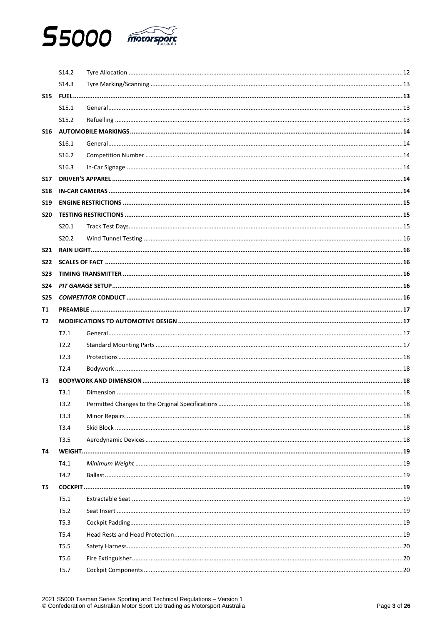

|            | S14.2             |  |
|------------|-------------------|--|
|            | S <sub>14.3</sub> |  |
| <b>S15</b> |                   |  |
|            | S <sub>15.1</sub> |  |
|            | S <sub>15.2</sub> |  |
| <b>S16</b> |                   |  |
|            | S <sub>16.1</sub> |  |
|            | S <sub>16.2</sub> |  |
|            | S <sub>16.3</sub> |  |
| <b>S17</b> |                   |  |
| <b>S18</b> |                   |  |
| <b>S19</b> |                   |  |
| <b>S20</b> |                   |  |
|            | S <sub>20.1</sub> |  |
|            | S <sub>20.2</sub> |  |
| <b>S21</b> |                   |  |
| <b>S22</b> |                   |  |
| <b>S23</b> |                   |  |
| <b>S24</b> |                   |  |
| <b>S25</b> |                   |  |
| T1         |                   |  |
| T2         |                   |  |
|            | T2.1              |  |
|            | T2.2              |  |
|            | T2.3              |  |
|            | T2.4              |  |
| T3         |                   |  |
|            | T3.1              |  |
|            | T3.2              |  |
|            | T3.3              |  |
|            | T3.4              |  |
|            | T3.5              |  |
| Т4         |                   |  |
|            | T4.1              |  |
|            | T4.2              |  |
| T5         |                   |  |
|            | T5.1              |  |
|            | T5.2              |  |
|            | T5.3              |  |
|            | T5.4              |  |
|            | T5.5              |  |
|            |                   |  |
|            | T5.6              |  |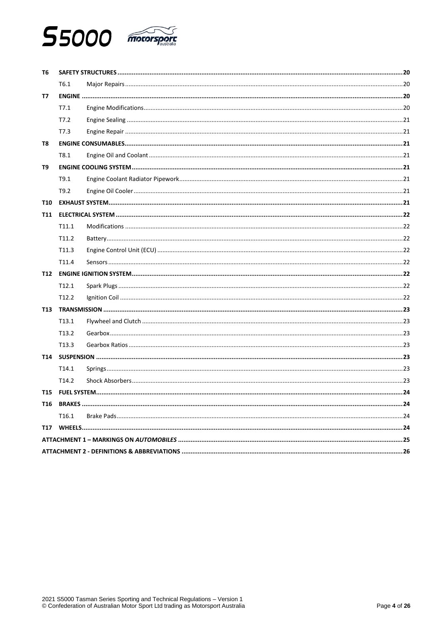

| T6         |                   |  |  |  |
|------------|-------------------|--|--|--|
|            | T6.1              |  |  |  |
| T7         |                   |  |  |  |
|            | T7.1              |  |  |  |
|            | T7.2              |  |  |  |
|            | T7.3              |  |  |  |
| T8         |                   |  |  |  |
|            | T8.1              |  |  |  |
| T9         |                   |  |  |  |
|            | T9.1              |  |  |  |
|            | T9.2              |  |  |  |
| <b>T10</b> |                   |  |  |  |
| T11        |                   |  |  |  |
|            | T11.1             |  |  |  |
|            | T11.2             |  |  |  |
|            | T <sub>11.3</sub> |  |  |  |
|            | T11.4             |  |  |  |
| T12        |                   |  |  |  |
|            | T <sub>12.1</sub> |  |  |  |
|            | T12.2             |  |  |  |
| T13        |                   |  |  |  |
|            | T <sub>13.1</sub> |  |  |  |
|            | T13.2             |  |  |  |
|            | T <sub>13.3</sub> |  |  |  |
| T14        |                   |  |  |  |
|            | T <sub>14.1</sub> |  |  |  |
|            | T <sub>14.2</sub> |  |  |  |
| T15        |                   |  |  |  |
|            |                   |  |  |  |
|            | T <sub>16.1</sub> |  |  |  |
| T17        |                   |  |  |  |
|            |                   |  |  |  |
|            |                   |  |  |  |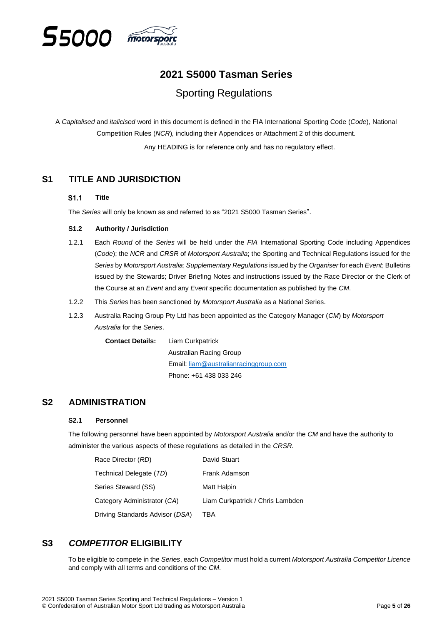

# **2021 S5000 Tasman Series**

# Sporting Regulations

A *Capitalised* and *italicised* word in this document is defined in the FIA International Sporting Code (*Code*)*,* National Competition Rules (*NCR*)*,* including their Appendices or Attachment 2 of this document.

Any HEADING is for reference only and has no regulatory effect.

# <span id="page-4-1"></span><span id="page-4-0"></span>**S1 TITLE AND JURISDICTION**

#### S1.1 **Title**

The *Series* will only be known as and referred to as "2021 S5000 Tasman Series".

#### <span id="page-4-2"></span>**S1.2 Authority / Jurisdiction**

- 1.2.1 Each *Round* of the *Series* will be held under the *FIA* International Sporting Code including Appendices (*Code*); the *NCR* and *CRSR* of *Motorsport Australia*; the Sporting and Technical Regulations issued for the *Series* by *Motorsport Australia*; *Supplementary Regulations* issued by the *Organiser* for each *Event*; Bulletins issued by the Stewards; Driver Briefing Notes and instructions issued by the Race Director or the Clerk of the Course at an *Event* and any *Event* specific documentation as published by the *CM*.
- 1.2.2 This *Series* has been sanctioned by *Motorsport Australia* as a National Series.
- 1.2.3 Australia Racing Group Pty Ltd has been appointed as the Category Manager (*CM*) by *Motorsport Australia* for the *Series*.

**Contact Details:** Liam Curkpatrick Australian Racing Group Email: [liam@australianracinggroup.com](mailto:liam@australianracinggroup.com) Phone: +61 438 033 246

# <span id="page-4-4"></span><span id="page-4-3"></span>**S2 ADMINISTRATION**

#### **S2.1 Personnel**

The following personnel have been appointed by *Motorsport Australia* and/or the *CM* and have the authority to administer the various aspects of these regulations as detailed in the *CRSR*.

| Race Director (RD)              | David Stuart                     |
|---------------------------------|----------------------------------|
| Technical Delegate (TD)         | Frank Adamson                    |
| Series Steward (SS)             | Matt Halpin                      |
| Category Administrator (CA)     | Liam Curkpatrick / Chris Lambden |
| Driving Standards Advisor (DSA) | TBA                              |

# <span id="page-4-5"></span>**S3** *COMPETITOR* **ELIGIBILITY**

To be eligible to compete in the *Series*, each *Competitor* must hold a current *Motorsport Australia Competitor Licence* and comply with all terms and conditions of the *CM*.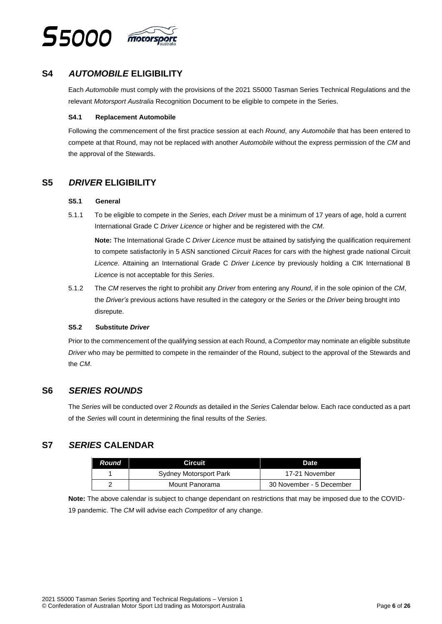

# <span id="page-5-0"></span>**S4** *AUTOMOBILE* **ELIGIBILITY**

Each *Automobile* must comply with the provisions of the 2021 S5000 Tasman Series Technical Regulations and the relevant *Motorsport Australia* Recognition Document to be eligible to compete in the Series.

#### <span id="page-5-1"></span>**S4.1 Replacement Automobile**

Following the commencement of the first practice session at each *Round*, any *Automobile* that has been entered to compete at that Round, may not be replaced with another *Automobile* without the express permission of the *CM* and the approval of the Stewards.

# <span id="page-5-3"></span><span id="page-5-2"></span>**S5** *DRIVER* **ELIGIBILITY**

#### **S5.1 General**

5.1.1 To be eligible to compete in the *Series*, each *Driver* must be a minimum of 17 years of age, hold a current International Grade C *Driver Licence* or higher and be registered with the *CM*.

**Note:** The International Grade C *Driver Licence* must be attained by satisfying the qualification requirement to compete satisfactorily in 5 ASN sanctioned *Circuit Races* for cars with the highest grade national Circuit *Licence*. Attaining an International Grade C *Driver Licence* by previously holding a CIK International B *Licence* is not acceptable for this *Series*.

5.1.2 The *CM* reserves the right to prohibit any *Driver* from entering any *Round*, if in the sole opinion of the *CM*, the *Driver's* previous actions have resulted in the category or the *Series* or the *Driver* being brought into disrepute.

#### <span id="page-5-4"></span>**S5.2 Substitute** *Driver*

Prior to the commencement of the qualifying session at each Round, a *Competitor* may nominate an eligible substitute *Driver* who may be permitted to compete in the remainder of the Round, subject to the approval of the Stewards and the *CM*.

# <span id="page-5-5"></span>**S6** *SERIES ROUNDS*

The *Series* will be conducted over 2 *Rounds* as detailed in the *Series* Calendar below. Each race conducted as a part of the *Series* will count in determining the final results of the *Series*.

# <span id="page-5-6"></span>**S7** *SERIES* **CALENDAR**

| <b>Round</b> | Circuit                | Date                     |
|--------------|------------------------|--------------------------|
|              | Sydney Motorsport Park | 17-21 November           |
|              | Mount Panorama         | 30 November - 5 December |

**Note:** The above calendar is subject to change dependant on restrictions that may be imposed due to the COVID-19 pandemic. The *CM* will advise each *Competitor* of any change.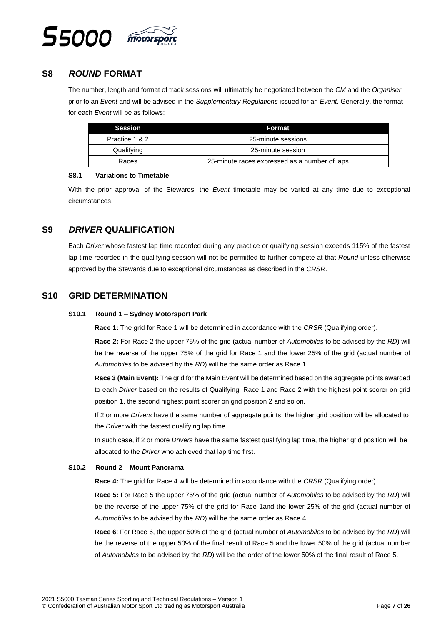

# <span id="page-6-0"></span>**S8** *ROUND* **FORMAT**

The number, length and format of track sessions will ultimately be negotiated between the *CM* and the *Organiser* prior to an *Event* and will be advised in the *Supplementary Regulations* issued for an *Event*. Generally, the format for each *Event* will be as follows:

| <b>Session</b> | Format                                        |  |  |  |
|----------------|-----------------------------------------------|--|--|--|
| Practice 1 & 2 | 25-minute sessions                            |  |  |  |
| Qualifying     | 25-minute session                             |  |  |  |
| Races          | 25-minute races expressed as a number of laps |  |  |  |

#### <span id="page-6-1"></span>**S8.1 Variations to Timetable**

With the prior approval of the Stewards, the *Event* timetable may be varied at any time due to exceptional circumstances.

# <span id="page-6-2"></span>**S9** *DRIVER* **QUALIFICATION**

Each *Driver* whose fastest lap time recorded during any practice or qualifying session exceeds 115% of the fastest lap time recorded in the qualifying session will not be permitted to further compete at that *Round* unless otherwise approved by the Stewards due to exceptional circumstances as described in the *CRSR*.

# <span id="page-6-4"></span><span id="page-6-3"></span>**S10 GRID DETERMINATION**

#### **S10.1 Round 1 – Sydney Motorsport Park**

**Race 1:** The grid for Race 1 will be determined in accordance with the *CRSR* (Qualifying order).

**Race 2:** For Race 2 the upper 75% of the grid (actual number of *Automobiles* to be advised by the *RD*) will be the reverse of the upper 75% of the grid for Race 1 and the lower 25% of the grid (actual number of *Automobiles* to be advised by the *RD*) will be the same order as Race 1.

**Race 3 (Main Event):** The grid for the Main Event will be determined based on the aggregate points awarded to each *Driver* based on the results of Qualifying, Race 1 and Race 2 with the highest point scorer on grid position 1, the second highest point scorer on grid position 2 and so on.

If 2 or more *Drivers* have the same number of aggregate points, the higher grid position will be allocated to the *Driver* with the fastest qualifying lap time.

In such case, if 2 or more *Drivers* have the same fastest qualifying lap time, the higher grid position will be allocated to the *Driver* who achieved that lap time first.

#### <span id="page-6-5"></span>**S10.2 Round 2 – Mount Panorama**

**Race 4:** The grid for Race 4 will be determined in accordance with the *CRSR* (Qualifying order).

**Race 5:** For Race 5 the upper 75% of the grid (actual number of *Automobiles* to be advised by the *RD*) will be the reverse of the upper 75% of the grid for Race 1and the lower 25% of the grid (actual number of *Automobiles* to be advised by the *RD*) will be the same order as Race 4.

**Race 6**: For Race 6, the upper 50% of the grid (actual number of *Automobiles* to be advised by the *RD*) will be the reverse of the upper 50% of the final result of Race 5 and the lower 50% of the grid (actual number of *Automobiles* to be advised by the *RD*) will be the order of the lower 50% of the final result of Race 5.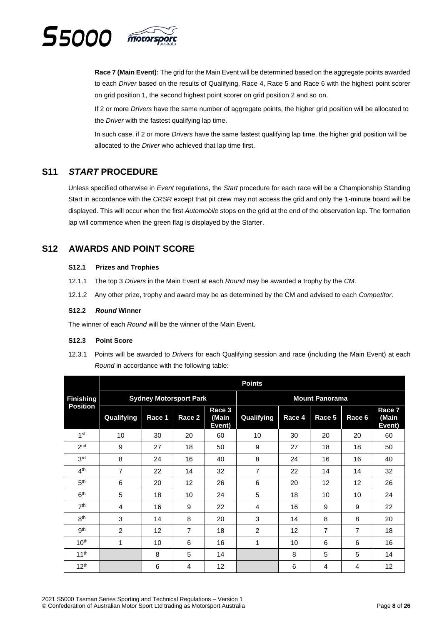

**Race 7 (Main Event):** The grid for the Main Event will be determined based on the aggregate points awarded to each *Driver* based on the results of Qualifying, Race 4, Race 5 and Race 6 with the highest point scorer on grid position 1, the second highest point scorer on grid position 2 and so on.

If 2 or more *Drivers* have the same number of aggregate points, the higher grid position will be allocated to the *Driver* with the fastest qualifying lap time.

In such case, if 2 or more *Drivers* have the same fastest qualifying lap time, the higher grid position will be allocated to the *Driver* who achieved that lap time first.

# <span id="page-7-0"></span>**S11** *START* **PROCEDURE**

Unless specified otherwise in *Event* regulations, the *Start* procedure for each race will be a Championship Standing Start in accordance with the *CRSR* except that pit crew may not access the grid and only the 1-minute board will be displayed. This will occur when the first *Automobile* stops on the grid at the end of the observation lap. The formation lap will commence when the green flag is displayed by the Starter.

# <span id="page-7-2"></span><span id="page-7-1"></span>**S12 AWARDS AND POINT SCORE**

#### **S12.1 Prizes and Trophies**

- 12.1.1 The top 3 *Drivers* in the Main Event at each *Round* may be awarded a trophy by the *CM*.
- 12.1.2 Any other prize, trophy and award may be as determined by the CM and advised to each *Competitor*.

#### <span id="page-7-3"></span>**S12.2** *Round* **Winner**

The winner of each *Round* will be the winner of the Main Event.

#### <span id="page-7-4"></span>**S12.3 Point Score**

12.3.1 Points will be awarded to *Drivers* for each Qualifying session and race (including the Main Event) at each *Round* in accordance with the following table:

|                  |                |                               |                   |                           | <b>Points</b>  |                   |                       |                |                           |
|------------------|----------------|-------------------------------|-------------------|---------------------------|----------------|-------------------|-----------------------|----------------|---------------------------|
| <b>Finishing</b> |                | <b>Sydney Motorsport Park</b> |                   |                           |                |                   | <b>Mount Panorama</b> |                |                           |
| <b>Position</b>  | Qualifying     | Race 1                        | Race <sub>2</sub> | Race 3<br>(Main<br>Event) | Qualifying     | Race <sub>4</sub> | Race 5                | Race 6         | Race 7<br>(Main<br>Event) |
| 1 <sup>st</sup>  | 10             | 30                            | 20                | 60                        | 10             | 30                | 20                    | 20             | 60                        |
| 2 <sub>nd</sub>  | 9              | 27                            | 18                | 50                        | 9              | 27                | 18                    | 18             | 50                        |
| 3 <sup>rd</sup>  | 8              | 24                            | 16                | 40                        | 8              | 24                | 16                    | 16             | 40                        |
| 4 <sup>th</sup>  | $\overline{7}$ | 22                            | 14                | 32                        | 7              | 22                | 14                    | 14             | 32                        |
| 5 <sup>th</sup>  | 6              | 20                            | 12                | 26                        | 6              | 20                | 12                    | 12             | 26                        |
| 6 <sup>th</sup>  | 5              | 18                            | 10                | 24                        | 5              | 18                | 10                    | 10             | 24                        |
| 7 <sup>th</sup>  | $\overline{4}$ | 16                            | 9                 | 22                        | 4              | 16                | 9                     | 9              | 22                        |
| 8 <sup>th</sup>  | 3              | 14                            | 8                 | 20                        | 3              | 14                | 8                     | 8              | 20                        |
| gth              | $\overline{2}$ | 12                            | $\overline{7}$    | 18                        | $\overline{2}$ | 12                | $\overline{7}$        | $\overline{7}$ | 18                        |
| 10 <sup>th</sup> | 1              | 10                            | 6                 | 16                        | 1              | 10                | 6                     | 6              | 16                        |
| 11 <sup>th</sup> |                | 8                             | 5                 | 14                        |                | 8                 | 5                     | 5              | 14                        |
| 12 <sup>th</sup> |                | 6                             | 4                 | 12                        |                | 6                 | 4                     | 4              | 12                        |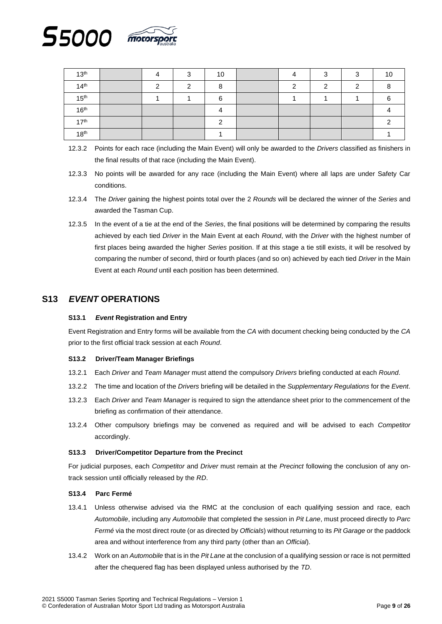

| 13 <sup>th</sup> | Λ | ⌒ | 10 |  |  | 1C |
|------------------|---|---|----|--|--|----|
| 14 <sup>th</sup> | ີ |   |    |  |  |    |
| 15 <sup>th</sup> |   |   | ⌒  |  |  |    |
| 16 <sup>th</sup> |   |   |    |  |  |    |
| 17 <sup>th</sup> |   |   |    |  |  |    |
| 18 <sup>th</sup> |   |   |    |  |  |    |

- 12.3.2 Points for each race (including the Main Event) will only be awarded to the *Drivers* classified as finishers in the final results of that race (including the Main Event).
- 12.3.3 No points will be awarded for any race (including the Main Event) where all laps are under Safety Car conditions.
- 12.3.4 The *Driver* gaining the highest points total over the 2 *Rounds* will be declared the winner of the *Series* and awarded the Tasman Cup.
- 12.3.5 In the event of a tie at the end of the *Series*, the final positions will be determined by comparing the results achieved by each tied *Driver* in the Main Event at each *Round*, with the *Driver* with the highest number of first places being awarded the higher *Series* position. If at this stage a tie still exists, it will be resolved by comparing the number of second, third or fourth places (and so on) achieved by each tied *Driver* in the Main Event at each *Round* until each position has been determined.

# <span id="page-8-1"></span><span id="page-8-0"></span>**S13** *EVENT* **OPERATIONS**

#### **S13.1** *Event* **Registration and Entry**

Event Registration and Entry forms will be available from the *CA* with document checking being conducted by the *CA* prior to the first official track session at each *Round*.

#### <span id="page-8-2"></span>**S13.2 Driver/Team Manager Briefings**

- 13.2.1 Each *Driver* and *Team Manager* must attend the compulsory *Drivers* briefing conducted at each *Round*.
- 13.2.2 The time and location of the *Drivers* briefing will be detailed in the *Supplementary Regulations* for the *Event*.
- 13.2.3 Each *Driver* and *Team Manager* is required to sign the attendance sheet prior to the commencement of the briefing as confirmation of their attendance.
- 13.2.4 Other compulsory briefings may be convened as required and will be advised to each *Competitor* accordingly.

#### <span id="page-8-3"></span>**S13.3 Driver/Competitor Departure from the Precinct**

For judicial purposes, each *Competitor* and *Driver* must remain at the *Precinct* following the conclusion of any ontrack session until officially released by the *RD*.

#### <span id="page-8-4"></span>**S13.4 Parc Fermé**

- 13.4.1 Unless otherwise advised via the RMC at the conclusion of each qualifying session and race, each *Automobile*, including any *Automobile* that completed the session in *Pit Lane*, must proceed directly to *Parc Fermé* via the most direct route (or as directed by *Officials*) without returning to its *Pit Garage* or the paddock area and without interference from any third party (other than an *Official*).
- 13.4.2 Work on an *Automobile* that is in the *Pit Lane* at the conclusion of a qualifying session or race is not permitted after the chequered flag has been displayed unless authorised by the *TD*.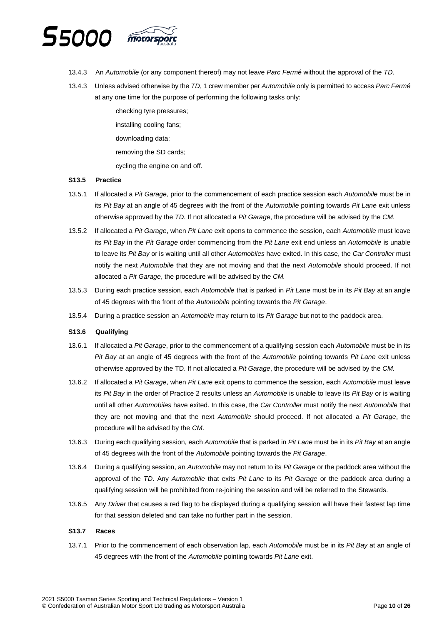

- 13.4.3 An *Automobile* (or any component thereof) may not leave *Parc Fermé* without the approval of the *TD*.
- 13.4.3 Unless advised otherwise by the *TD*, 1 crew member per *Automobile* only is permitted to access *Parc Fermé* at any one time for the purpose of performing the following tasks only:

checking tyre pressures; installing cooling fans; downloading data; removing the SD cards; cycling the engine on and off.

#### <span id="page-9-0"></span>**S13.5 Practice**

- 13.5.1 If allocated a *Pit Garage*, prior to the commencement of each practice session each *Automobile* must be in its *Pit Bay* at an angle of 45 degrees with the front of the *Automobile* pointing towards *Pit Lane* exit unless otherwise approved by the *TD*. If not allocated a *Pit Garage*, the procedure will be advised by the *CM*.
- 13.5.2 If allocated a *Pit Garage*, when *Pit Lane* exit opens to commence the session, each *Automobile* must leave its *Pit Bay* in the *Pit Garage* order commencing from the *Pit Lane* exit end unless an *Automobile* is unable to leave its *Pit Bay* or is waiting until all other *Automobiles* have exited. In this case, the *Car Controller* must notify the next *Automobile* that they are not moving and that the next *Automobile* should proceed. If not allocated a *Pit Garage*, the procedure will be advised by the *CM.*
- 13.5.3 During each practice session, each *Automobile* that is parked in *Pit Lane* must be in its *Pit Bay* at an angle of 45 degrees with the front of the *Automobile* pointing towards the *Pit Garage*.
- 13.5.4 During a practice session an *Automobile* may return to its *Pit Garage* but not to the paddock area.

#### <span id="page-9-1"></span>**S13.6 Qualifying**

- 13.6.1 If allocated a *Pit Garage*, prior to the commencement of a qualifying session each *Automobile* must be in its *Pit Bay* at an angle of 45 degrees with the front of the *Automobile* pointing towards *Pit Lane* exit unless otherwise approved by the TD. If not allocated a *Pit Garage*, the procedure will be advised by the *CM.*
- 13.6.2 If allocated a *Pit Garage*, when *Pit Lane* exit opens to commence the session, each *Automobile* must leave its *Pit Bay* in the order of Practice 2 results unless an *Automobile* is unable to leave its *Pit Bay* or is waiting until all other *Automobiles* have exited. In this case, the *Car Controller* must notify the next *Automobile* that they are not moving and that the next *Automobile* should proceed. If not allocated a *Pit Garage*, the procedure will be advised by the *CM*.
- 13.6.3 During each qualifying session, each *Automobile* that is parked in *Pit Lane* must be in its *Pit Bay* at an angle of 45 degrees with the front of the *Automobile* pointing towards the *Pit Garage*.
- 13.6.4 During a qualifying session, an *Automobile* may not return to its *Pit Garage* or the paddock area without the approval of the *TD*. Any *Automobile* that exits *Pit Lane* to its *Pit Garage* or the paddock area during a qualifying session will be prohibited from re-joining the session and will be referred to the Stewards.
- 13.6.5 Any *Driver* that causes a red flag to be displayed during a qualifying session will have their fastest lap time for that session deleted and can take no further part in the session.

#### <span id="page-9-2"></span>**S13.7 Races**

13.7.1 Prior to the commencement of each observation lap, each *Automobile* must be in its *Pit Bay* at an angle of 45 degrees with the front of the *Automobile* pointing towards *Pit Lane* exit.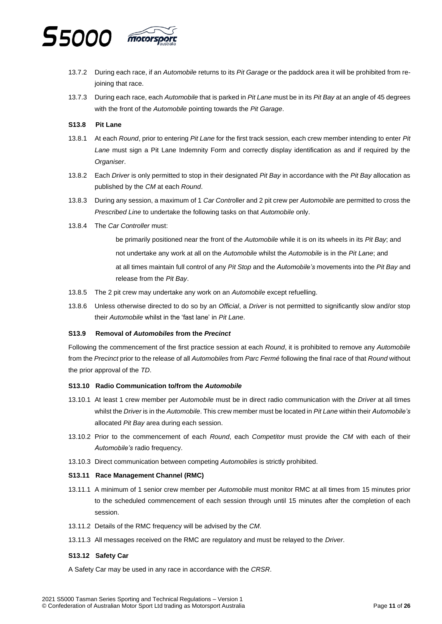

- 13.7.2 During each race, if an *Automobile* returns to its *Pit Garage* or the paddock area it will be prohibited from rejoining that race.
- 13.7.3 During each race, each *Automobile* that is parked in *Pit Lane* must be in its *Pit Bay* at an angle of 45 degrees with the front of the *Automobile* pointing towards the *Pit Garage*.

#### <span id="page-10-0"></span>**S13.8 Pit Lane**

- 13.8.1 At each *Round*, prior to entering *Pit Lane* for the first track session, each crew member intending to enter *Pit Lane* must sign a Pit Lane Indemnity Form and correctly display identification as and if required by the *Organiser*.
- 13.8.2 Each *Driver* is only permitted to stop in their designated *Pit Bay* in accordance with the *Pit Bay* allocation as published by the *CM* at each *Round*.
- 13.8.3 During any session, a maximum of 1 *Car Contr*oller and 2 pit crew per *Automobile* are permitted to cross the *Prescribed Line* to undertake the following tasks on that *Automobile* only.
- 13.8.4 The *Car Controller* must:
	- be primarily positioned near the front of the *Automobile* while it is on its wheels in its *Pit Bay*; and not undertake any work at all on the *Automobile* whilst the *Automobile* is in the *Pit Lane*; and at all times maintain full control of any *Pit Stop* and the *Automobile's* movements into the *Pit Bay* and release from the *Pit Bay*.
- 13.8.5 The 2 pit crew may undertake any work on an *Automobile* except refuelling.
- 13.8.6 Unless otherwise directed to do so by an *Official*, a *Driver* is not permitted to significantly slow and/or stop their *Automobile* whilst in the 'fast lane' in *Pit Lane*.

#### <span id="page-10-1"></span>**S13.9 Removal of** *Automobiles* **from the** *Precinct*

Following the commencement of the first practice session at each *Round*, it is prohibited to remove any *Automobile* from the *Precinct* prior to the release of all *Automobiles* from *Parc Fermé* following the final race of that *Round* without the prior approval of the *TD*.

#### <span id="page-10-2"></span>**S13.10 Radio Communication to/from the** *Automobile*

- 13.10.1 At least 1 crew member per *Automobile* must be in direct radio communication with the *Driver* at all times whilst the *Driver* is in the *Automobile*. This crew member must be located in *Pit Lane* within their *Automobile's* allocated *Pit Bay* area during each session.
- 13.10.2 Prior to the commencement of each *Round*, each *Competitor* must provide the *CM* with each of their *Automobile's* radio frequency.
- 13.10.3 Direct communication between competing *Automobiles* is strictly prohibited.

#### **S13.11 Race Management Channel (RMC)**

- 13.11.1 A minimum of 1 senior crew member per *Automobile* must monitor RMC at all times from 15 minutes prior to the scheduled commencement of each session through until 15 minutes after the completion of each session.
- 13.11.2 Details of the RMC frequency will be advised by the *CM*.
- 13.11.3 All messages received on the RMC are regulatory and must be relayed to the *Driver*.

#### <span id="page-10-3"></span>**S13.12 Safety Car**

A Safety Car may be used in any race in accordance with the *CRSR*.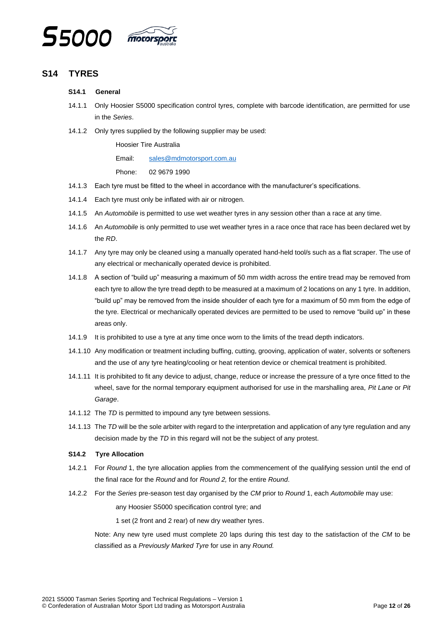

# <span id="page-11-1"></span><span id="page-11-0"></span>**S14 TYRES**

#### **S14.1 General**

- 14.1.1 Only Hoosier S5000 specification control tyres, complete with barcode identification, are permitted for use in the *Series*.
- 14.1.2 Only tyres supplied by the following supplier may be used:

Hoosier Tire Australia

Email: [sales@mdmotorsport.com.au](mailto:sales@mdmotorsport.com.au)

Phone: 02 9679 1990

- 14.1.3 Each tyre must be fitted to the wheel in accordance with the manufacturer's specifications.
- 14.1.4 Each tyre must only be inflated with air or nitrogen.
- 14.1.5 An *Automobile* is permitted to use wet weather tyres in any session other than a race at any time.
- 14.1.6 An *Automobile* is only permitted to use wet weather tyres in a race once that race has been declared wet by the *RD*.
- 14.1.7 Any tyre may only be cleaned using a manually operated hand-held tool/s such as a flat scraper. The use of any electrical or mechanically operated device is prohibited.
- 14.1.8 A section of "build up" measuring a maximum of 50 mm width across the entire tread may be removed from each tyre to allow the tyre tread depth to be measured at a maximum of 2 locations on any 1 tyre. In addition, "build up" may be removed from the inside shoulder of each tyre for a maximum of 50 mm from the edge of the tyre. Electrical or mechanically operated devices are permitted to be used to remove "build up" in these areas only.
- 14.1.9 It is prohibited to use a tyre at any time once worn to the limits of the tread depth indicators.
- 14.1.10 Any modification or treatment including buffing, cutting, grooving, application of water, solvents or softeners and the use of any tyre heating/cooling or heat retention device or chemical treatment is prohibited.
- 14.1.11 It is prohibited to fit any device to adjust, change, reduce or increase the pressure of a tyre once fitted to the wheel, save for the normal temporary equipment authorised for use in the marshalling area, *Pit Lane* or *Pit Garage*.
- 14.1.12 The *TD* is permitted to impound any tyre between sessions.
- 14.1.13 The *TD* will be the sole arbiter with regard to the interpretation and application of any tyre regulation and any decision made by the *TD* in this regard will not be the subject of any protest.

#### <span id="page-11-2"></span>**S14.2 Tyre Allocation**

- 14.2.1 For *Round* 1, the tyre allocation applies from the commencement of the qualifying session until the end of the final race for the *Round* and for *Round 2,* for the entire *Round*.
- 14.2.2 For the *Series* pre-season test day organised by the *CM* prior to *Round* 1, each *Automobile* may use:

any Hoosier S5000 specification control tyre; and

1 set (2 front and 2 rear) of new dry weather tyres.

Note: Any new tyre used must complete 20 laps during this test day to the satisfaction of the *CM* to be classified as a *Previously Marked Tyre* for use in any *Round.*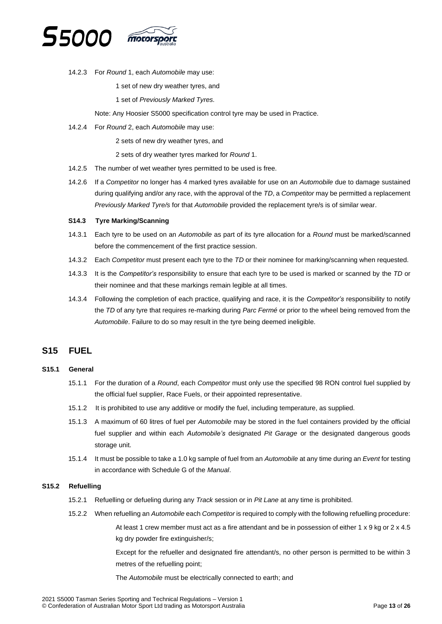

14.2.3 For *Round* 1, each *Automobile* may use:

1 set of new dry weather tyres, and

1 set of *Previously Marked Tyres.*

Note: Any Hoosier S5000 specification control tyre may be used in Practice.

- 14.2.4 For *Round* 2, each *Automobile* may use:
	- 2 sets of new dry weather tyres, and
	- 2 sets of dry weather tyres marked for *Round* 1.
- 14.2.5 The number of wet weather tyres permitted to be used is free.
- 14.2.6 If a *Competitor* no longer has 4 marked tyres available for use on an *Automobile* due to damage sustained during qualifying and/or any race, with the approval of the *TD*, a *Competitor* may be permitted a replacement *Previously Marked Tyre/s* for that *Automobile* provided the replacement tyre/s is of similar wear.

#### <span id="page-12-0"></span>**S14.3 Tyre Marking/Scanning**

- 14.3.1 Each tyre to be used on an *Automobile* as part of its tyre allocation for a *Round* must be marked/scanned before the commencement of the first practice session.
- 14.3.2 Each *Competitor* must present each tyre to the *TD* or their nominee for marking/scanning when requested.
- 14.3.3 It is the *Competitor's* responsibility to ensure that each tyre to be used is marked or scanned by the *TD* or their nominee and that these markings remain legible at all times.
- 14.3.4 Following the completion of each practice, qualifying and race, it is the *Competitor's* responsibility to notify the *TD* of any tyre that requires re-marking during *Parc Fermé* or prior to the wheel being removed from the *Automobile*. Failure to do so may result in the tyre being deemed ineligible.

# <span id="page-12-1"></span>**S15 FUEL**

#### <span id="page-12-2"></span>**S15.1 General**

- 15.1.1 For the duration of a *Round*, each *Competitor* must only use the specified 98 RON control fuel supplied by the official fuel supplier, Race Fuels, or their appointed representative.
- 15.1.2 It is prohibited to use any additive or modify the fuel, including temperature, as supplied.
- 15.1.3 A maximum of 60 litres of fuel per *Automobile* may be stored in the fuel containers provided by the official fuel supplier and within each *Automobile's* designated *Pit Garage* or the designated dangerous goods storage unit.
- 15.1.4 It must be possible to take a 1.0 kg sample of fuel from an *Automobile* at any time during an *Event* for testing in accordance with Schedule G of the *Manual*.

#### <span id="page-12-3"></span>**S15.2 Refuelling**

- 15.2.1 Refuelling or defueling during any *Track* session or in *Pit Lane* at any time is prohibited.
- 15.2.2 When refuelling an *Automobile* each *Competitor* is required to comply with the following refuelling procedure: At least 1 crew member must act as a fire attendant and be in possession of either 1 x 9 kg or 2 x 4.5 kg dry powder fire extinguisher/s;

Except for the refueller and designated fire attendant/s, no other person is permitted to be within 3 metres of the refuelling point;

The *Automobile* must be electrically connected to earth; and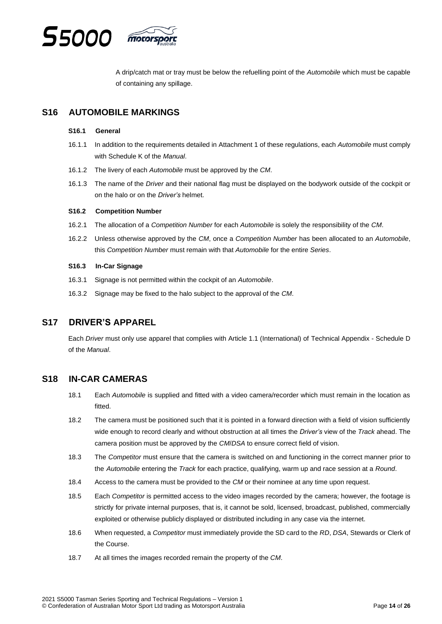

A drip/catch mat or tray must be below the refuelling point of the *Automobile* which must be capable of containing any spillage.

# <span id="page-13-1"></span><span id="page-13-0"></span>**S16 AUTOMOBILE MARKINGS**

#### **S16.1 General**

- 16.1.1 In addition to the requirements detailed in Attachment 1 of these regulations, each *Automobile* must comply with Schedule K of the *Manual*.
- 16.1.2 The livery of each *Automobile* must be approved by the *CM*.
- 16.1.3 The name of the *Driver* and their national flag must be displayed on the bodywork outside of the cockpit or on the halo or on the *Driver's* helmet.

#### <span id="page-13-2"></span>**S16.2 Competition Number**

- 16.2.1 The allocation of a *Competition Number* for each *Automobile* is solely the responsibility of the *CM*.
- 16.2.2 Unless otherwise approved by the *CM*, once a *Competition Number* has been allocated to an *Automobile*, this *Competition Number* must remain with that *Automobile* for the entire *Series*.

#### <span id="page-13-3"></span>**S16.3 In-Car Signage**

- 16.3.1 Signage is not permitted within the cockpit of an *Automobile*.
- 16.3.2 Signage may be fixed to the halo subject to the approval of the *CM*.

# <span id="page-13-4"></span>**S17 DRIVER'S APPAREL**

Each *Driver* must only use apparel that complies with Article 1.1 (International) of Technical Appendix - Schedule D of the *Manual*.

# <span id="page-13-5"></span>**S18 IN-CAR CAMERAS**

- 18.1 Each *Automobile* is supplied and fitted with a video camera/recorder which must remain in the location as fitted.
- 18.2 The camera must be positioned such that it is pointed in a forward direction with a field of vision sufficiently wide enough to record clearly and without obstruction at all times the *Driver's* view of the *Track* ahead. The camera position must be approved by the *CM*/*DSA* to ensure correct field of vision.
- 18.3 The *Competitor* must ensure that the camera is switched on and functioning in the correct manner prior to the *Automobile* entering the *Track* for each practice, qualifying, warm up and race session at a *Round*.
- 18.4 Access to the camera must be provided to the *CM* or their nominee at any time upon request.
- 18.5 Each *Competitor* is permitted access to the video images recorded by the camera; however, the footage is strictly for private internal purposes, that is, it cannot be sold, licensed, broadcast, published, commercially exploited or otherwise publicly displayed or distributed including in any case via the internet.
- 18.6 When requested, a *Competitor* must immediately provide the SD card to the *RD*, *DSA*, Stewards or Clerk of the Course.
- 18.7 At all times the images recorded remain the property of the *CM*.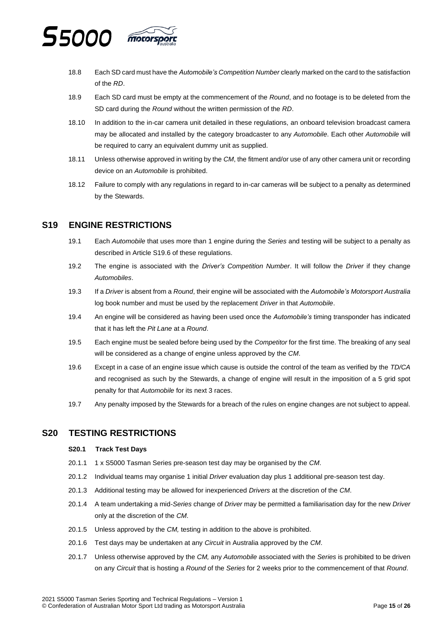

- 18.8 Each SD card must have the *Automobile's Competition Number* clearly marked on the card to the satisfaction of the *RD*.
- 18.9 Each SD card must be empty at the commencement of the *Round*, and no footage is to be deleted from the SD card during the *Round* without the written permission of the *RD*.
- 18.10 In addition to the in-car camera unit detailed in these regulations, an onboard television broadcast camera may be allocated and installed by the category broadcaster to any *Automobile*. Each other *Automobile* will be required to carry an equivalent dummy unit as supplied.
- 18.11 Unless otherwise approved in writing by the *CM*, the fitment and/or use of any other camera unit or recording device on an *Automobile* is prohibited.
- 18.12 Failure to comply with any regulations in regard to in-car cameras will be subject to a penalty as determined by the Stewards.

# <span id="page-14-0"></span>**S19 ENGINE RESTRICTIONS**

- 19.1 Each *Automobile* that uses more than 1 engine during the *Series* and testing will be subject to a penalty as described in Article S19.6 of these regulations.
- 19.2 The engine is associated with the *Driver's Competition Number*. It will follow the *Driver* if they change *Automobiles*.
- 19.3 If a *Driver* is absent from a *Round*, their engine will be associated with the *Automobile's Motorsport Australia* log book number and must be used by the replacement *Driver* in that *Automobile*.
- 19.4 An engine will be considered as having been used once the *Automobile's* timing transponder has indicated that it has left the *Pit Lane* at a *Round*.
- 19.5 Each engine must be sealed before being used by the *Competitor* for the first time. The breaking of any seal will be considered as a change of engine unless approved by the *CM*.
- 19.6 Except in a case of an engine issue which cause is outside the control of the team as verified by the *TD/CA* and recognised as such by the Stewards, a change of engine will result in the imposition of a 5 grid spot penalty for that *Automobile* for its next 3 races.
- 19.7 Any penalty imposed by the Stewards for a breach of the rules on engine changes are not subject to appeal.

# <span id="page-14-2"></span><span id="page-14-1"></span>**S20 TESTING RESTRICTIONS**

#### **S20.1 Track Test Days**

- 20.1.1 1 x S5000 Tasman Series pre-season test day may be organised by the *CM*.
- 20.1.2 Individual teams may organise 1 initial *Driver* evaluation day plus 1 additional pre-season test day.
- 20.1.3 Additional testing may be allowed for inexperienced *Drivers* at the discretion of the *CM*.
- 20.1.4 A team undertaking a mid-*Series* change of *Driver* may be permitted a familiarisation day for the new *Driver* only at the discretion of the *CM*.
- 20.1.5 Unless approved by the *CM,* testing in addition to the above is prohibited.
- 20.1.6 Test days may be undertaken at any *Circuit* in Australia approved by the *CM*.
- 20.1.7 Unless otherwise approved by the *CM,* any *Automobile* associated with the *Series* is prohibited to be driven on any *Circuit* that is hosting a *Round* of the *Series* for 2 weeks prior to the commencement of that *Round*.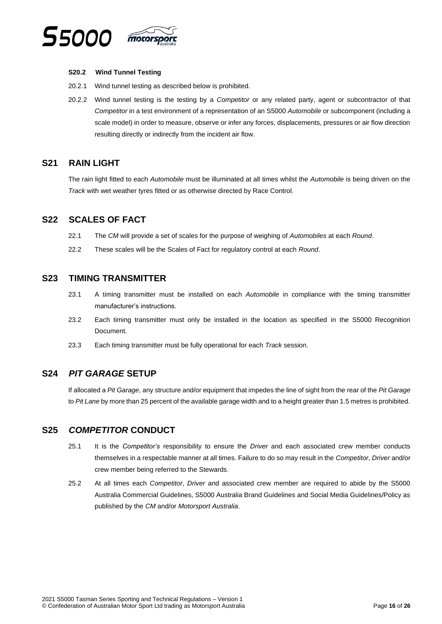

#### <span id="page-15-0"></span>**S20.2 Wind Tunnel Testing**

- 20.2.1 Wind tunnel testing as described below is prohibited.
- 20.2.2 Wind tunnel testing is the testing by a *Competitor* or any related party, agent or subcontractor of that *Competitor* in a test environment of a representation of an S5000 *Automobile* or subcomponent (including a scale model) in order to measure, observe or infer any forces, displacements, pressures or air flow direction resulting directly or indirectly from the incident air flow.

# <span id="page-15-1"></span>**S21 RAIN LIGHT**

The rain light fitted to each *Automobile* must be illuminated at all times whilst the *Automobile* is being driven on the *Track* with wet weather tyres fitted or as otherwise directed by Race Control.

# <span id="page-15-2"></span>**S22 SCALES OF FACT**

- 22.1 The *CM* will provide a set of scales for the purpose of weighing of *Automobiles* at each *Round*.
- 22.2 These scales will be the Scales of Fact for regulatory control at each *Round*.

### <span id="page-15-3"></span>**S23 TIMING TRANSMITTER**

- 23.1 A timing transmitter must be installed on each *Automobile* in compliance with the timing transmitter manufacturer's instructions.
- 23.2 Each timing transmitter must only be installed in the location as specified in the S5000 Recognition Document.
- 23.3 Each timing transmitter must be fully operational for each *Track* session.

# <span id="page-15-4"></span>**S24** *PIT GARAGE* **SETUP**

If allocated a *Pit Garage*, any structure and/or equipment that impedes the line of sight from the rear of the *Pit Garage* to *Pit Lane* by more than 25 percent of the available garage width and to a height greater than 1.5 metres is prohibited.

# <span id="page-15-5"></span>**S25** *COMPETITOR* **CONDUCT**

- 25.1 It is the *Competitor's* responsibility to ensure the *Driver* and each associated crew member conducts themselves in a respectable manner at all times. Failure to do so may result in the *Comp*e*titor*, *Driver* and/or crew member being referred to the Stewards.
- 25.2 At all times each *Competitor*, *Driver* and associated crew member are required to abide by the S5000 Australia Commercial Guidelines, S5000 Australia Brand Guidelines and Social Media Guidelines/Policy as published by the *CM* and/or *Motorsport Australia*.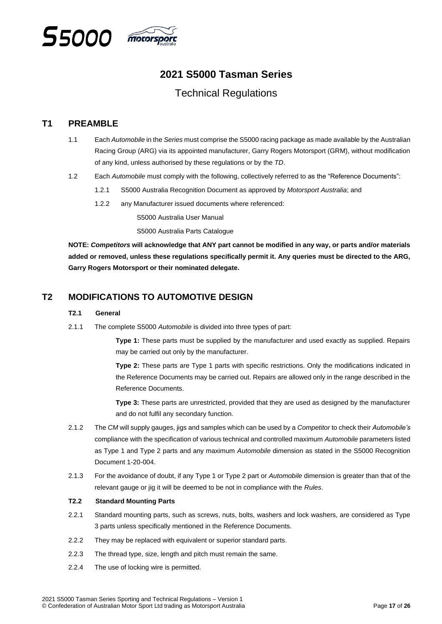

# **2021 S5000 Tasman Series**

# Technical Regulations

# <span id="page-16-0"></span>**T1 PREAMBLE**

- 1.1 Each *Automobile* in the *Series* must comprise the S5000 racing package as made available by the Australian Racing Group (ARG) via its appointed manufacturer, Garry Rogers Motorsport (GRM), without modification of any kind, unless authorised by these regulations or by the *TD*.
- 1.2 Each *Automobile* must comply with the following, collectively referred to as the "Reference Documents":
	- 1.2.1 S5000 Australia Recognition Document as approved by *Motorsport Australia*; and
	- 1.2.2 any Manufacturer issued documents where referenced:

S5000 Australia User Manual

S5000 Australia Parts Catalogue

**NOTE:** *Competitors* **will acknowledge that ANY part cannot be modified in any way, or parts and/or materials added or removed, unless these regulations specifically permit it. Any queries must be directed to the ARG, Garry Rogers Motorsport or their nominated delegate.**

# <span id="page-16-2"></span><span id="page-16-1"></span>**T2 MODIFICATIONS TO AUTOMOTIVE DESIGN**

#### **T2.1 General**

2.1.1 The complete S5000 *Automobile* is divided into three types of part:

**Type 1:** These parts must be supplied by the manufacturer and used exactly as supplied. Repairs may be carried out only by the manufacturer.

**Type 2:** These parts are Type 1 parts with specific restrictions. Only the modifications indicated in the Reference Documents may be carried out. Repairs are allowed only in the range described in the Reference Documents.

**Type 3:** These parts are unrestricted, provided that they are used as designed by the manufacturer and do not fulfil any secondary function.

- 2.1.2 The *CM* will supply gauges, jigs and samples which can be used by a *Competitor* to check their *Automobile's* compliance with the specification of various technical and controlled maximum *Automobile* parameters listed as Type 1 and Type 2 parts and any maximum *Automobile* dimension as stated in the S5000 Recognition Document 1-20-004.
- 2.1.3 For the avoidance of doubt, if any Type 1 or Type 2 part or *Automobile* dimension is greater than that of the relevant gauge or jig it will be deemed to be not in compliance with the *Rules*.

### <span id="page-16-3"></span>**T2.2 Standard Mounting Parts**

- 2.2.1 Standard mounting parts, such as screws, nuts, bolts, washers and lock washers, are considered as Type 3 parts unless specifically mentioned in the Reference Documents.
- 2.2.2 They may be replaced with equivalent or superior standard parts.
- 2.2.3 The thread type, size, length and pitch must remain the same.
- 2.2.4 The use of locking wire is permitted.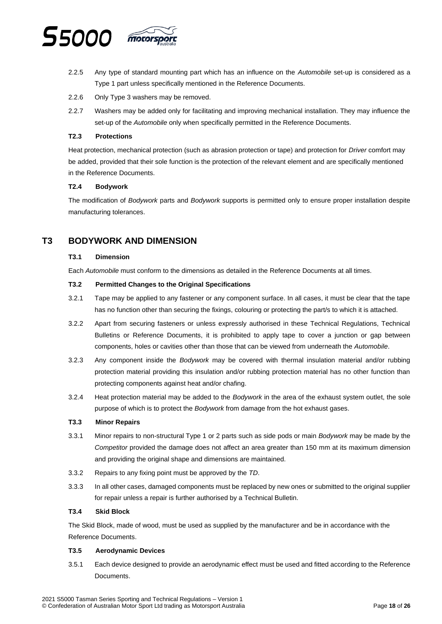

- 2.2.5 Any type of standard mounting part which has an influence on the *Automobile* set-up is considered as a Type 1 part unless specifically mentioned in the Reference Documents.
- 2.2.6 Only Type 3 washers may be removed.
- 2.2.7 Washers may be added only for facilitating and improving mechanical installation. They may influence the set-up of the *Automobile* only when specifically permitted in the Reference Documents.

#### <span id="page-17-0"></span>**T2.3 Protections**

Heat protection, mechanical protection (such as abrasion protection or tape) and protection for *Driver* comfort may be added, provided that their sole function is the protection of the relevant element and are specifically mentioned in the Reference Documents.

#### <span id="page-17-1"></span>**T2.4 Bodywork**

The modification of *Bodywork* parts and *Bodywork* supports is permitted only to ensure proper installation despite manufacturing tolerances.

# <span id="page-17-3"></span><span id="page-17-2"></span>**T3 BODYWORK AND DIMENSION**

#### **T3.1 Dimension**

Each *Automobile* must conform to the dimensions as detailed in the Reference Documents at all times.

#### <span id="page-17-4"></span>**T3.2 Permitted Changes to the Original Specifications**

- 3.2.1 Tape may be applied to any fastener or any component surface. In all cases, it must be clear that the tape has no function other than securing the fixings, colouring or protecting the part/s to which it is attached.
- 3.2.2 Apart from securing fasteners or unless expressly authorised in these Technical Regulations, Technical Bulletins or Reference Documents, it is prohibited to apply tape to cover a junction or gap between components, holes or cavities other than those that can be viewed from underneath the *Automobile*.
- 3.2.3 Any component inside the *Bodywork* may be covered with thermal insulation material and/or rubbing protection material providing this insulation and/or rubbing protection material has no other function than protecting components against heat and/or chafing.
- 3.2.4 Heat protection material may be added to the *Bodywork* in the area of the exhaust system outlet, the sole purpose of which is to protect the *Bodywork* from damage from the hot exhaust gases.

#### <span id="page-17-5"></span>**T3.3 Minor Repairs**

- 3.3.1 Minor repairs to non-structural Type 1 or 2 parts such as side pods or main *Bodywork* may be made by the *Competitor* provided the damage does not affect an area greater than 150 mm at its maximum dimension and providing the original shape and dimensions are maintained.
- 3.3.2 Repairs to any fixing point must be approved by the *TD*.
- 3.3.3 In all other cases, damaged components must be replaced by new ones or submitted to the original supplier for repair unless a repair is further authorised by a Technical Bulletin.

#### <span id="page-17-6"></span>**T3.4 Skid Block**

The Skid Block, made of wood, must be used as supplied by the manufacturer and be in accordance with the Reference Documents.

#### <span id="page-17-7"></span>**T3.5 Aerodynamic Devices**

3.5.1 Each device designed to provide an aerodynamic effect must be used and fitted according to the Reference Documents.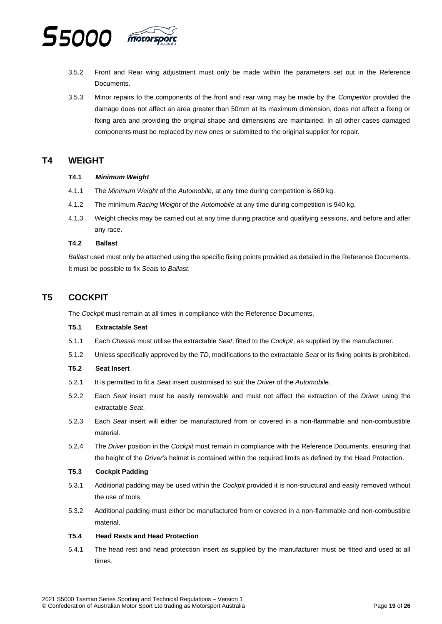

- 3.5.2 Front and Rear wing adjustment must only be made within the parameters set out in the Reference **Documents**
- 3.5.3 Minor repairs to the components of the front and rear wing may be made by the *Competitor* provided the damage does not affect an area greater than 50mm at its maximum dimension, does not affect a fixing or fixing area and providing the original shape and dimensions are maintained. In all other cases damaged components must be replaced by new ones or submitted to the original supplier for repair.

# <span id="page-18-1"></span><span id="page-18-0"></span>**T4 WEIGHT**

#### **T4.1** *Minimum Weight*

- 4.1.1 The *Minimum Weight* of the *Automobile*, at any time during competition is 860 kg.
- 4.1.2 The minimum *Racing Weight* of the *Automobile* at any time during competition is 940 kg.
- 4.1.3 Weight checks may be carried out at any time during practice and qualifying sessions, and before and after any race.

#### <span id="page-18-2"></span>**T4.2 Ballast**

*Ballast* used must only be attached using the specific fixing points provided as detailed in the Reference Documents. It must be possible to fix *Seals* to *Ballast*.

# <span id="page-18-3"></span>**T5 COCKPIT**

The *Cockpit* must remain at all times in compliance with the Reference Documents.

#### <span id="page-18-4"></span>**T5.1 Extractable Seat**

- 5.1.1 Each *Chassis* must utilise the extractable *Seat*, fitted to the *Cockpit*, as supplied by the manufacturer.
- 5.1.2 Unless specifically approved by the *TD*, modifications to the extractable *Seat* or its fixing points is prohibited.

#### <span id="page-18-5"></span>**T5.2 Seat Insert**

- 5.2.1 It is permitted to fit a *Seat* insert customised to suit the *Driver* of the *Automobile*.
- 5.2.2 Each *Seat* insert must be easily removable and must not affect the extraction of the *Driver* using the extractable *Seat*.
- 5.2.3 Each *Seat* insert will either be manufactured from or covered in a non-flammable and non-combustible material.
- 5.2.4 The *Driver* position in the *Cockpit* must remain in compliance with the Reference Documents, ensuring that the height of the *Driver's* helmet is contained within the required limits as defined by the Head Protection.

#### <span id="page-18-6"></span>**T5.3 Cockpit Padding**

- 5.3.1 Additional padding may be used within the *Cockpit* provided it is non-structural and easily removed without the use of tools.
- 5.3.2 Additional padding must either be manufactured from or covered in a non-flammable and non-combustible material.

#### <span id="page-18-7"></span>**T5.4 Head Rests and Head Protection**

5.4.1 The head rest and head protection insert as supplied by the manufacturer must be fitted and used at all times.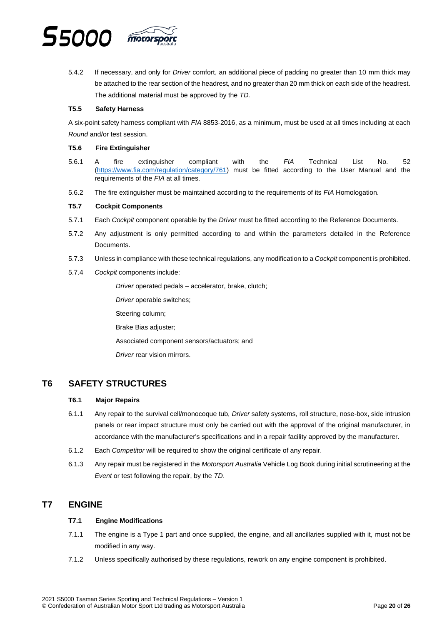

5.4.2 If necessary, and only for *Driver* comfort, an additional piece of padding no greater than 10 mm thick may be attached to the rear section of the headrest, and no greater than 20 mm thick on each side of the headrest. The additional material must be approved by the *TD.*

#### <span id="page-19-0"></span>**T5.5 Safety Harness**

A six-point safety harness compliant with *FIA* 8853-2016, as a minimum, must be used at all times including at each *Round* and/or test session.

#### <span id="page-19-1"></span>**T5.6 Fire Extinguisher**

- 5.6.1 A fire extinguisher compliant with the *FIA* Technical List No. 52 [\(https://www.fia.com/regulation/category/761\)](https://www.fia.com/regulation/category/761) must be fitted according to the User Manual and the requirements of the *FIA* at all times.
- 5.6.2 The fire extinguisher must be maintained according to the requirements of its *FIA* Homologation.

#### <span id="page-19-2"></span>**T5.7 Cockpit Components**

- 5.7.1 Each *Cockpit* component operable by the *Driver* must be fitted according to the Reference Documents.
- 5.7.2 Any adjustment is only permitted according to and within the parameters detailed in the Reference Documents.
- 5.7.3 Unless in compliance with these technical regulations, any modification to a *Cockpit* component is prohibited.
- 5.7.4 *Cockpit* components include:

*Driver* operated pedals – accelerator, brake, clutch;

*Driver* operable switches;

Steering column;

Brake Bias adjuster;

Associated component sensors/actuators; and

*Driver* rear vision mirrors.

# <span id="page-19-4"></span><span id="page-19-3"></span>**T6 SAFETY STRUCTURES**

#### **T6.1 Major Repairs**

- 6.1.1 Any repair to the survival cell/monocoque tub, *Driver* safety systems, roll structure, nose-box, side intrusion panels or rear impact structure must only be carried out with the approval of the original manufacturer, in accordance with the manufacturer's specifications and in a repair facility approved by the manufacturer.
- 6.1.2 Each *Competitor* will be required to show the original certificate of any repair.
- 6.1.3 Any repair must be registered in the *Motorsport Australia* Vehicle Log Book during initial scrutineering at the *Event* or test following the repair, by the *TD*.

# <span id="page-19-6"></span><span id="page-19-5"></span>**T7 ENGINE**

#### **T7.1 Engine Modifications**

- 7.1.1 The engine is a Type 1 part and once supplied, the engine, and all ancillaries supplied with it, must not be modified in any way.
- 7.1.2 Unless specifically authorised by these regulations, rework on any engine component is prohibited.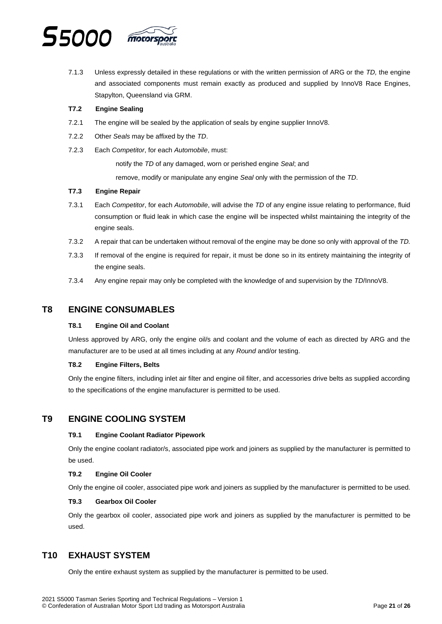

7.1.3 Unless expressly detailed in these regulations or with the written permission of ARG or the *TD,* the engine and associated components must remain exactly as produced and supplied by InnoV8 Race Engines, Stapylton, Queensland via GRM.

#### <span id="page-20-0"></span>**T7.2 Engine Sealing**

- 7.2.1 The engine will be sealed by the application of seals by engine supplier InnoV8.
- 7.2.2 Other *Seals* may be affixed by the *TD*.
- 7.2.3 Each *Competitor*, for each *Automobile*, must:

notify the *TD* of any damaged, worn or perished engine *Seal*; and

remove, modify or manipulate any engine *Seal* only with the permission of the *TD*.

#### <span id="page-20-1"></span>**T7.3 Engine Repair**

- 7.3.1 Each *Competitor*, for each *Automobile*, will advise the *TD* of any engine issue relating to performance, fluid consumption or fluid leak in which case the engine will be inspected whilst maintaining the integrity of the engine seals.
- 7.3.2 A repair that can be undertaken without removal of the engine may be done so only with approval of the *TD.*
- 7.3.3 If removal of the engine is required for repair, it must be done so in its entirety maintaining the integrity of the engine seals.
- 7.3.4 Any engine repair may only be completed with the knowledge of and supervision by the *TD*/InnoV8.

### <span id="page-20-3"></span><span id="page-20-2"></span>**T8 ENGINE CONSUMABLES**

#### **T8.1 Engine Oil and Coolant**

Unless approved by ARG, only the engine oil/s and coolant and the volume of each as directed by ARG and the manufacturer are to be used at all times including at any *Round* and/or testing.

#### **T8.2 Engine Filters, Belts**

Only the engine filters, including inlet air filter and engine oil filter, and accessories drive belts as supplied according to the specifications of the engine manufacturer is permitted to be used.

### <span id="page-20-5"></span><span id="page-20-4"></span>**T9 ENGINE COOLING SYSTEM**

#### **T9.1 Engine Coolant Radiator Pipework**

Only the engine coolant radiator/s, associated pipe work and joiners as supplied by the manufacturer is permitted to be used.

#### <span id="page-20-6"></span>**T9.2 Engine Oil Cooler**

Only the engine oil cooler, associated pipe work and joiners as supplied by the manufacturer is permitted to be used.

#### **T9.3 Gearbox Oil Cooler**

Only the gearbox oil cooler, associated pipe work and joiners as supplied by the manufacturer is permitted to be used.

# <span id="page-20-7"></span>**T10 EXHAUST SYSTEM**

Only the entire exhaust system as supplied by the manufacturer is permitted to be used.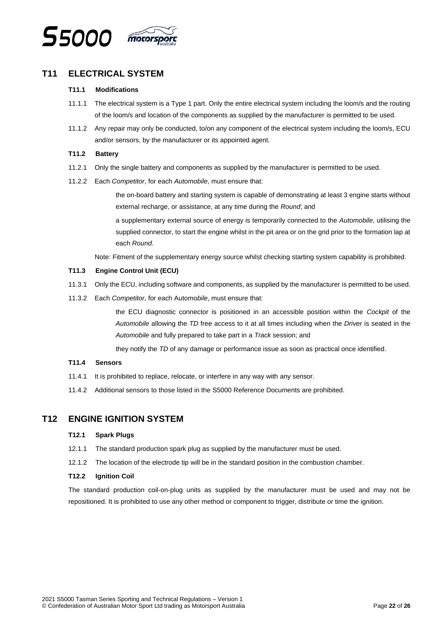

# <span id="page-21-1"></span><span id="page-21-0"></span>**T11 ELECTRICAL SYSTEM**

#### **T11.1 Modifications**

- 11.1.1 The electrical system is a Type 1 part. Only the entire electrical system including the loom/s and the routing of the loom/s and location of the components as supplied by the manufacturer is permitted to be used.
- 11.1.2 Any repair may only be conducted, to/on any component of the electrical system including the loom/s, ECU and/or sensors, by the manufacturer or its appointed agent.

#### <span id="page-21-2"></span>**T11.2 Battery**

- 11.2.1 Only the single battery and components as supplied by the manufacturer is permitted to be used.
- 11.2.2 Each *Competitor*, for each *Automobile*, must ensure that:

the on-board battery and starting system is capable of demonstrating at least 3 engine starts without external recharge, or assistance, at any time during the *Round*; and

a supplementary external source of energy is temporarily connected to the *Automobile*, utilising the supplied connector, to start the engine whilst in the pit area or on the grid prior to the formation lap at each *Round*.

Note: Fitment of the supplementary energy source whilst checking starting system capability is prohibited.

#### <span id="page-21-3"></span>**T11.3 Engine Control Unit (ECU)**

- 11.3.1 Only the ECU, including software and components, as supplied by the manufacturer is permitted to be used.
- 11.3.2 Each *Competitor*, for each Automo*bile*, must ensure that:

the ECU diagnostic connector is positioned in an accessible position within the *Cockpit* of the *Automobile* allowing the *TD* free access to it at all times including when the *Driver* is seated in the *Automobile* and fully prepared to take part in a *Track* session; and

they notify the *TD* of any damage or performance issue as soon as practical once identified.

#### <span id="page-21-4"></span>**T11.4 Sensors**

- 11.4.1 It is prohibited to replace, relocate, or interfere in any way with any sensor.
- 11.4.2 Additional sensors to those listed in the S5000 Reference Documents are prohibited.

# <span id="page-21-6"></span><span id="page-21-5"></span>**T12 ENGINE IGNITION SYSTEM**

#### **T12.1 Spark Plugs**

- 12.1.1 The standard production spark plug as supplied by the manufacturer must be used.
- 12.1.2 The location of the electrode tip will be in the standard position in the combustion chamber.

#### <span id="page-21-7"></span>**T12.2 Ignition Coil**

The standard production coil-on-plug units as supplied by the manufacturer must be used and may not be repositioned. It is prohibited to use any other method or component to trigger, distribute or time the ignition.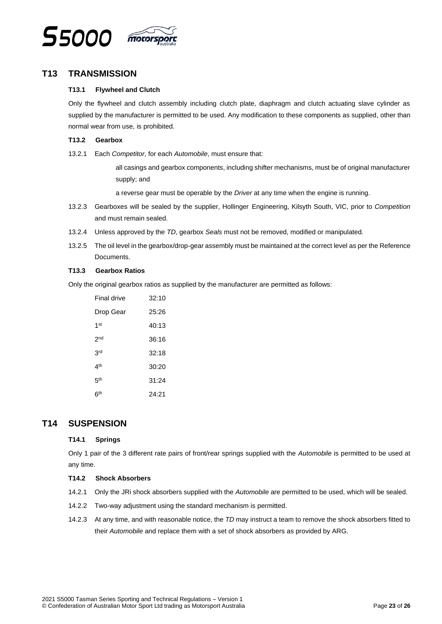

# <span id="page-22-1"></span><span id="page-22-0"></span>**T13 TRANSMISSION**

#### **T13.1 Flywheel and Clutch**

Only the flywheel and clutch assembly including clutch plate, diaphragm and clutch actuating slave cylinder as supplied by the manufacturer is permitted to be used. Any modification to these components as supplied, other than normal wear from use, is prohibited.

#### <span id="page-22-2"></span>**T13.2 Gearbox**

13.2.1 Each *Competitor*, for each *Automobile*, must ensure that:

all casings and gearbox components, including shifter mechanisms, must be of original manufacturer supply; and

a reverse gear must be operable by the *Driver* at any time when the engine is running.

- 13.2.3 Gearboxes will be sealed by the supplier, Hollinger Engineering, Kilsyth South, VIC, prior to *Competition* and must remain sealed.
- 13.2.4 Unless approved by the *TD*, gearbox *Seals* must not be removed, modified or manipulated.
- 13.2.5 The oil level in the gearbox/drop-gear assembly must be maintained at the correct level as per the Reference Documents.

#### <span id="page-22-3"></span>**T13.3 Gearbox Ratios**

Only the original gearbox ratios as supplied by the manufacturer are permitted as follows:

| Final drive     | 32:10 |
|-----------------|-------|
| Drop Gear       | 25:26 |
| 1 <sub>st</sub> | 40:13 |
| 2 <sub>nd</sub> | 36:16 |
| 3rd             | 32:18 |
| 4 <sup>th</sup> | 30:20 |
| 5th             | 31:24 |
| 6 <sup>th</sup> | 24:21 |

# <span id="page-22-5"></span><span id="page-22-4"></span>**T14 SUSPENSION**

#### **T14.1 Springs**

Only 1 pair of the 3 different rate pairs of front/rear springs supplied with the *Automobile* is permitted to be used at any time.

#### <span id="page-22-6"></span>**T14.2 Shock Absorbers**

- 14.2.1 Only the JRi shock absorbers supplied with the *Automobile* are permitted to be used, which will be sealed.
- 14.2.2 Two-way adjustment using the standard mechanism is permitted.
- 14.2.3 At any time, and with reasonable notice, the *TD* may instruct a team to remove the shock absorbers fitted to their *Automobile* and replace them with a set of shock absorbers as provided by ARG.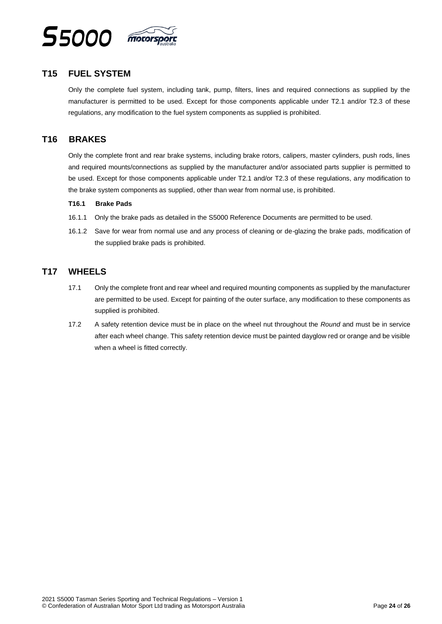

# <span id="page-23-0"></span>**T15 FUEL SYSTEM**

Only the complete fuel system, including tank, pump, filters, lines and required connections as supplied by the manufacturer is permitted to be used. Except for those components applicable under T2.1 and/or T2.3 of these regulations, any modification to the fuel system components as supplied is prohibited.

# <span id="page-23-1"></span>**T16 BRAKES**

Only the complete front and rear brake systems, including brake rotors, calipers, master cylinders, push rods, lines and required mounts/connections as supplied by the manufacturer and/or associated parts supplier is permitted to be used. Except for those components applicable under T2.1 and/or T2.3 of these regulations, any modification to the brake system components as supplied, other than wear from normal use, is prohibited.

#### <span id="page-23-2"></span>**T16.1 Brake Pads**

- 16.1.1 Only the brake pads as detailed in the S5000 Reference Documents are permitted to be used.
- 16.1.2 Save for wear from normal use and any process of cleaning or de-glazing the brake pads, modification of the supplied brake pads is prohibited.

# <span id="page-23-3"></span>**T17 WHEELS**

- 17.1 Only the complete front and rear wheel and required mounting components as supplied by the manufacturer are permitted to be used. Except for painting of the outer surface, any modification to these components as supplied is prohibited.
- 17.2 A safety retention device must be in place on the wheel nut throughout the *Round* and must be in service after each wheel change. This safety retention device must be painted dayglow red or orange and be visible when a wheel is fitted correctly.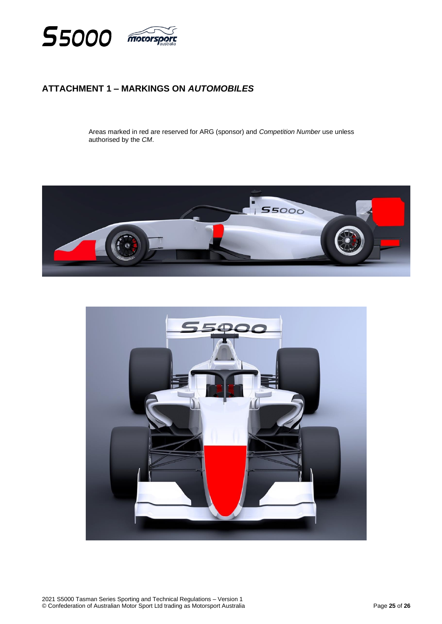

# <span id="page-24-0"></span>**ATTACHMENT 1 – MARKINGS ON** *AUTOMOBILES*

Areas marked in red are reserved for ARG (sponsor) and *Competition Number* use unless authorised by the *CM*.